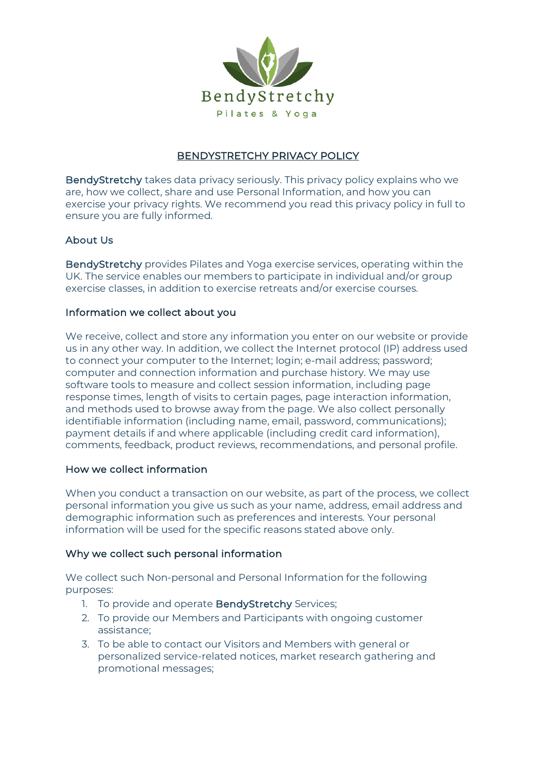

# BENDYSTRETCHY PRIVACY POLICY

BendyStretchy takes data privacy seriously. This privacy policy explains who we are, how we collect, share and use Personal Information, and how you can exercise your privacy rights. We recommend you read this privacy policy in full to ensure you are fully informed.

## About Us

BendyStretchy provides Pilates and Yoga exercise services, operating within the UK. The service enables our members to participate in individual and/or group exercise classes, in addition to exercise retreats and/or exercise courses.

## Information we collect about you

We receive, collect and store any information you enter on our website or provide us in any other way. In addition, we collect the Internet protocol (IP) address used to connect your computer to the Internet; login; e-mail address; password; computer and connection information and purchase history. We may use software tools to measure and collect session information, including page response times, length of visits to certain pages, page interaction information, and methods used to browse away from the page. We also collect personally identifiable information (including name, email, password, communications); payment details if and where applicable (including credit card information), comments, feedback, product reviews, recommendations, and personal profile.

## How we collect information

When you conduct a transaction on our website, as part of the process, we collect personal information you give us such as your name, address, email address and demographic information such as preferences and interests. Your personal information will be used for the specific reasons stated above only.

## Why we collect such personal information

We collect such Non-personal and Personal Information for the following purposes:

- 1. To provide and operate BendyStretchy Services;
- 2. To provide our Members and Participants with ongoing customer assistance;
- 3. To be able to contact our Visitors and Members with general or personalized service-related notices, market research gathering and promotional messages;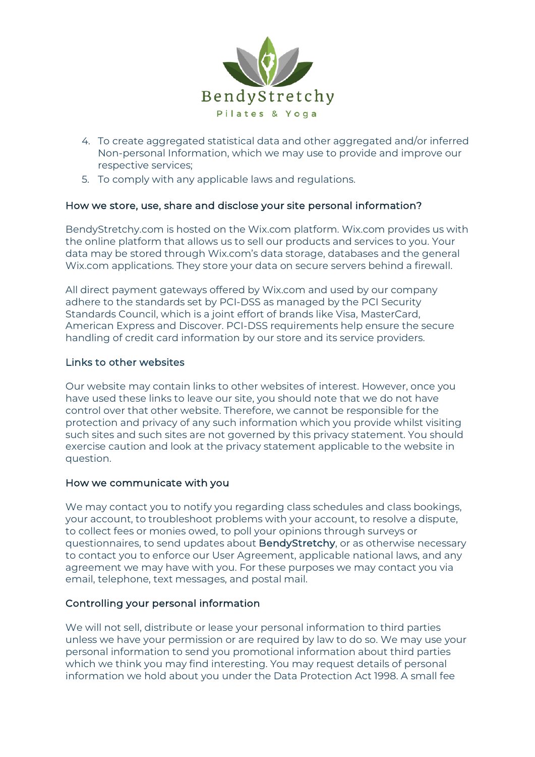

- 4. To create aggregated statistical data and other aggregated and/or inferred Non-personal Information, which we may use to provide and improve our respective services;
- 5. To comply with any applicable laws and regulations.

## How we store, use, share and disclose your site personal information?

BendyStretchy.com is hosted on the Wix.com platform. Wix.com provides us with the online platform that allows us to sell our products and services to you. Your data may be stored through Wix.com's data storage, databases and the general Wix.com applications. They store your data on secure servers behind a firewall.

All direct payment gateways offered by Wix.com and used by our company adhere to the standards set by PCI-DSS as managed by the PCI Security Standards Council, which is a joint effort of brands like Visa, MasterCard, American Express and Discover. PCI-DSS requirements help ensure the secure handling of credit card information by our store and its service providers.

### Links to other websites

Our website may contain links to other websites of interest. However, once you have used these links to leave our site, you should note that we do not have control over that other website. Therefore, we cannot be responsible for the protection and privacy of any such information which you provide whilst visiting such sites and such sites are not governed by this privacy statement. You should exercise caution and look at the privacy statement applicable to the website in question.

### How we communicate with you

We may contact you to notify you regarding class schedules and class bookings, your account, to troubleshoot problems with your account, to resolve a dispute, to collect fees or monies owed, to poll your opinions through surveys or questionnaires, to send updates about **BendyStretchy**, or as otherwise necessary to contact you to enforce our User Agreement, applicable national laws, and any agreement we may have with you. For these purposes we may contact you via email, telephone, text messages, and postal mail.

### Controlling your personal information

We will not sell, distribute or lease your personal information to third parties unless we have your permission or are required by law to do so. We may use your personal information to send you promotional information about third parties which we think you may find interesting. You may request details of personal information we hold about you under the Data Protection Act 1998. A small fee